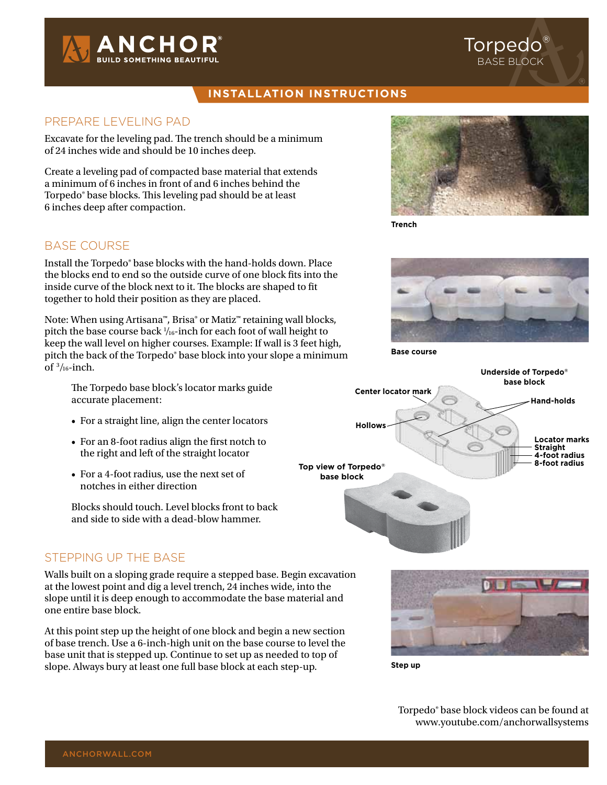

### **installation instructions**

#### PREPARE LEVELING PAD

Excavate for the leveling pad. The trench should be a minimum of 24 inches wide and should be 10 inches deep.

Create a leveling pad of compacted base material that extends a minimum of 6 inches in front of and 6 inches behind the Torpedo® base blocks. This leveling pad should be at least 6 inches deep after compaction.

# Base Course

Install the Torpedo® base blocks with the hand-holds down. Place the blocks end to end so the outside curve of one block fits into the inside curve of the block next to it. The blocks are shaped to fit together to hold their position as they are placed.

Note: When using Artisana™, Brisa® or Matiz™ retaining wall blocks, pitch the base course back  $\frac{1}{16}$ -inch for each foot of wall height to keep the wall level on higher courses. Example: If wall is 3 feet high, pitch the back of the Torpedo® base block into your slope a minimum of  $\frac{3}{16}$ -inch.

 The Torpedo base block's locator marks guide accurate placement:

- For a straight line, align the center locators
- For an 8-foot radius align the first notch to the right and left of the straight locator
- For a 4-foot radius, use the next set of notches in either direction

 Blocks should touch. Level blocks front to back and side to side with a dead-blow hammer.

#### Stepping up the Base

Walls built on a sloping grade require a stepped base. Begin excavation at the lowest point and dig a level trench, 24 inches wide, into the slope until it is deep enough to accommodate the base material and one entire base block.

At this point step up the height of one block and begin a new section of base trench. Use a 6-inch-high unit on the base course to level the base unit that is stepped up. Continue to set up as needed to top of slope. Always bury at least one full base block at each step-up.



Torpedo® base block

**Trench**



**Base course**





**Step up**

Torpedo® base block videos can be found at www.youtube.com/anchorwallsystems